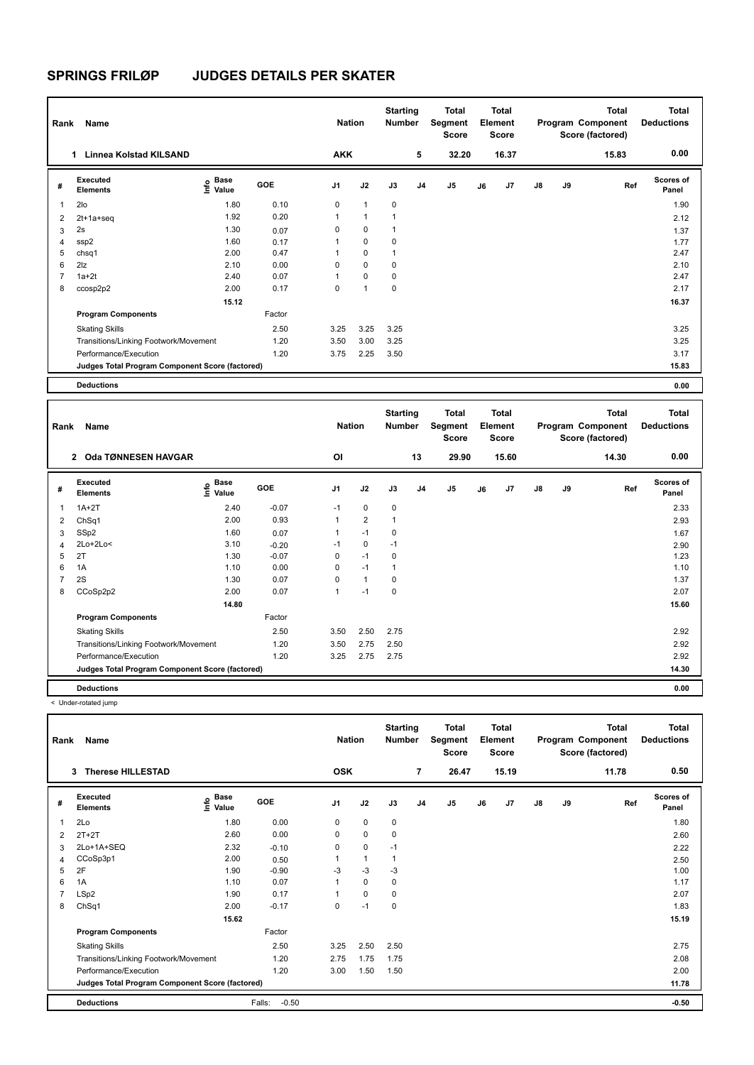| Rank           | Name                                            |                     |        | <b>Nation</b>  |                | <b>Starting</b><br><b>Number</b> |                | Total<br>Segment<br><b>Score</b> |    | <b>Total</b><br>Element<br><b>Score</b> |               |    | <b>Total</b><br>Program Component<br>Score (factored) | <b>Total</b><br><b>Deductions</b> |
|----------------|-------------------------------------------------|---------------------|--------|----------------|----------------|----------------------------------|----------------|----------------------------------|----|-----------------------------------------|---------------|----|-------------------------------------------------------|-----------------------------------|
|                | Linnea Kolstad KILSAND<br>1                     |                     |        | <b>AKK</b>     |                |                                  | 5              | 32.20                            |    | 16.37                                   |               |    | 15.83                                                 | 0.00                              |
| #              | Executed<br><b>Elements</b>                     | Base<br>۴٥<br>Value | GOE    | J <sub>1</sub> | J2             | J3                               | J <sub>4</sub> | J <sub>5</sub>                   | J6 | J <sub>7</sub>                          | $\mathsf{J}8$ | J9 | Ref                                                   | <b>Scores of</b><br>Panel         |
| 1              | 2lo                                             | 1.80                | 0.10   | 0              | $\mathbf{1}$   | 0                                |                |                                  |    |                                         |               |    |                                                       | 1.90                              |
| $\overline{2}$ | 2t+1a+seq                                       | 1.92                | 0.20   | 1              | 1              | 1                                |                |                                  |    |                                         |               |    |                                                       | 2.12                              |
| 3              | 2s                                              | 1.30                | 0.07   | 0              | 0              | $\mathbf{1}$                     |                |                                  |    |                                         |               |    |                                                       | 1.37                              |
| $\overline{4}$ | ssp2                                            | 1.60                | 0.17   |                | $\mathbf 0$    | 0                                |                |                                  |    |                                         |               |    |                                                       | 1.77                              |
| 5              | chsq1                                           | 2.00                | 0.47   |                | 0              | 1                                |                |                                  |    |                                         |               |    |                                                       | 2.47                              |
| 6              | 2 <sub>z</sub>                                  | 2.10                | 0.00   | 0              | $\mathbf 0$    | 0                                |                |                                  |    |                                         |               |    |                                                       | 2.10                              |
| $\overline{7}$ | $1a+2t$                                         | 2.40                | 0.07   |                | 0              | 0                                |                |                                  |    |                                         |               |    |                                                       | 2.47                              |
| 8              | ccosp2p2                                        | 2.00                | 0.17   | 0              | $\overline{1}$ | 0                                |                |                                  |    |                                         |               |    |                                                       | 2.17                              |
|                |                                                 | 15.12               |        |                |                |                                  |                |                                  |    |                                         |               |    |                                                       | 16.37                             |
|                | <b>Program Components</b>                       |                     | Factor |                |                |                                  |                |                                  |    |                                         |               |    |                                                       |                                   |
|                | <b>Skating Skills</b>                           |                     | 2.50   | 3.25           | 3.25           | 3.25                             |                |                                  |    |                                         |               |    |                                                       | 3.25                              |
|                | Transitions/Linking Footwork/Movement           |                     | 1.20   | 3.50           | 3.00           | 3.25                             |                |                                  |    |                                         |               |    |                                                       | 3.25                              |
|                | Performance/Execution                           |                     | 1.20   | 3.75           | 2.25           | 3.50                             |                |                                  |    |                                         |               |    |                                                       | 3.17                              |
|                | Judges Total Program Component Score (factored) |                     |        |                |                |                                  |                |                                  |    |                                         |               |    |                                                       | 15.83                             |
|                | <b>Deductions</b>                               |                     |        |                |                |                                  |                |                                  |    |                                         |               |    |                                                       | 0.00                              |

| Rank           | Name                                            |                                             |         | <b>Nation</b>  |                | <b>Starting</b><br><b>Number</b> |                | Total<br>Segment<br>Score |    | <b>Total</b><br>Element<br><b>Score</b> |               |    | Total<br>Program Component<br>Score (factored) | <b>Total</b><br><b>Deductions</b> |
|----------------|-------------------------------------------------|---------------------------------------------|---------|----------------|----------------|----------------------------------|----------------|---------------------------|----|-----------------------------------------|---------------|----|------------------------------------------------|-----------------------------------|
|                | Oda TØNNESEN HAVGAR<br>$\mathbf{2}$             |                                             |         | O <sub>l</sub> |                |                                  | 13             | 29.90                     |    | 15.60                                   |               |    | 14.30                                          | 0.00                              |
| #              | Executed<br><b>Elements</b>                     | <b>Base</b><br>e <sup>Base</sup><br>⊆ Value | GOE     | J <sub>1</sub> | J2             | J3                               | J <sub>4</sub> | J5                        | J6 | J <sub>7</sub>                          | $\mathsf{J}8$ | J9 | Ref                                            | <b>Scores of</b><br>Panel         |
| $\mathbf 1$    | $1A+2T$                                         | 2.40                                        | $-0.07$ | $-1$           | $\mathbf 0$    | $\mathbf 0$                      |                |                           |    |                                         |               |    |                                                | 2.33                              |
| $\overline{2}$ | ChSq1                                           | 2.00                                        | 0.93    | 1              | $\overline{2}$ | 1                                |                |                           |    |                                         |               |    |                                                | 2.93                              |
| 3              | SSp2                                            | 1.60                                        | 0.07    | 1              | $-1$           | 0                                |                |                           |    |                                         |               |    |                                                | 1.67                              |
| 4              | $2Lo+2Lo<$                                      | 3.10                                        | $-0.20$ | $-1$           | 0              | $-1$                             |                |                           |    |                                         |               |    |                                                | 2.90                              |
| 5              | 2T                                              | 1.30                                        | $-0.07$ | 0              | $-1$           | 0                                |                |                           |    |                                         |               |    |                                                | 1.23                              |
| 6              | 1A                                              | 1.10                                        | 0.00    | 0              | $-1$           | 1                                |                |                           |    |                                         |               |    |                                                | 1.10                              |
| $\overline{7}$ | 2S                                              | 1.30                                        | 0.07    | 0              | $\mathbf{1}$   | 0                                |                |                           |    |                                         |               |    |                                                | 1.37                              |
| 8              | CCoSp2p2                                        | 2.00                                        | 0.07    | 1              | $-1$           | 0                                |                |                           |    |                                         |               |    |                                                | 2.07                              |
|                |                                                 | 14.80                                       |         |                |                |                                  |                |                           |    |                                         |               |    |                                                | 15.60                             |
|                | <b>Program Components</b>                       |                                             | Factor  |                |                |                                  |                |                           |    |                                         |               |    |                                                |                                   |
|                | <b>Skating Skills</b>                           |                                             | 2.50    | 3.50           | 2.50           | 2.75                             |                |                           |    |                                         |               |    |                                                | 2.92                              |
|                | Transitions/Linking Footwork/Movement           |                                             | 1.20    | 3.50           | 2.75           | 2.50                             |                |                           |    |                                         |               |    |                                                | 2.92                              |
|                | Performance/Execution                           |                                             | 1.20    | 3.25           | 2.75           | 2.75                             |                |                           |    |                                         |               |    |                                                | 2.92                              |
|                | Judges Total Program Component Score (factored) |                                             |         |                |                |                                  |                |                           |    |                                         |               |    |                                                | 14.30                             |
|                | <b>Deductions</b>                               |                                             |         |                |                |                                  |                |                           |    |                                         |               |    |                                                | 0.00                              |

< Under-rotated jump

| Rank           | Name                                            |                       |                   | <b>Nation</b> |              | <b>Starting</b><br><b>Number</b> |                | <b>Total</b><br>Segment<br><b>Score</b> |    | <b>Total</b><br>Element<br><b>Score</b> |               |    | Total<br>Program Component<br>Score (factored) | <b>Total</b><br><b>Deductions</b> |
|----------------|-------------------------------------------------|-----------------------|-------------------|---------------|--------------|----------------------------------|----------------|-----------------------------------------|----|-----------------------------------------|---------------|----|------------------------------------------------|-----------------------------------|
|                | 3<br><b>Therese HILLESTAD</b>                   |                       |                   | <b>OSK</b>    |              |                                  | $\overline{7}$ | 26.47                                   |    | 15.19                                   |               |    | 11.78                                          | 0.50                              |
| #              | <b>Executed</b><br><b>Elements</b>              | Base<br>١nf٥<br>Value | GOE               | J1            | J2           | J3                               | J <sub>4</sub> | J <sub>5</sub>                          | J6 | J7                                      | $\mathsf{J}8$ | J9 | Ref                                            | <b>Scores of</b><br>Panel         |
| 1              | 2Lo                                             | 1.80                  | 0.00              | 0             | $\mathbf 0$  | 0                                |                |                                         |    |                                         |               |    |                                                | 1.80                              |
| $\overline{2}$ | $2T+2T$                                         | 2.60                  | 0.00              | 0             | $\mathbf 0$  | 0                                |                |                                         |    |                                         |               |    |                                                | 2.60                              |
| 3              | 2Lo+1A+SEQ                                      | 2.32                  | $-0.10$           | 0             | $\mathbf 0$  | $-1$                             |                |                                         |    |                                         |               |    |                                                | 2.22                              |
| 4              | CCoSp3p1                                        | 2.00                  | 0.50              |               | $\mathbf{1}$ | $\mathbf{1}$                     |                |                                         |    |                                         |               |    |                                                | 2.50                              |
| 5              | 2F                                              | 1.90                  | $-0.90$           | $-3$          | $-3$         | $-3$                             |                |                                         |    |                                         |               |    |                                                | 1.00                              |
| 6              | 1A                                              | 1.10                  | 0.07              | 1             | $\Omega$     | 0                                |                |                                         |    |                                         |               |    |                                                | 1.17                              |
|                | LSp2                                            | 1.90                  | 0.17              |               | $\mathbf 0$  | 0                                |                |                                         |    |                                         |               |    |                                                | 2.07                              |
| 8              | ChSq1                                           | 2.00                  | $-0.17$           | 0             | $-1$         | 0                                |                |                                         |    |                                         |               |    |                                                | 1.83                              |
|                |                                                 | 15.62                 |                   |               |              |                                  |                |                                         |    |                                         |               |    |                                                | 15.19                             |
|                | <b>Program Components</b>                       |                       | Factor            |               |              |                                  |                |                                         |    |                                         |               |    |                                                |                                   |
|                | <b>Skating Skills</b>                           |                       | 2.50              | 3.25          | 2.50         | 2.50                             |                |                                         |    |                                         |               |    |                                                | 2.75                              |
|                | Transitions/Linking Footwork/Movement           |                       | 1.20              | 2.75          | 1.75         | 1.75                             |                |                                         |    |                                         |               |    |                                                | 2.08                              |
|                | Performance/Execution                           |                       | 1.20              | 3.00          | 1.50         | 1.50                             |                |                                         |    |                                         |               |    |                                                | 2.00                              |
|                | Judges Total Program Component Score (factored) |                       |                   |               |              |                                  |                |                                         |    |                                         |               |    |                                                | 11.78                             |
|                | <b>Deductions</b>                               |                       | $-0.50$<br>Falls: |               |              |                                  |                |                                         |    |                                         |               |    |                                                | $-0.50$                           |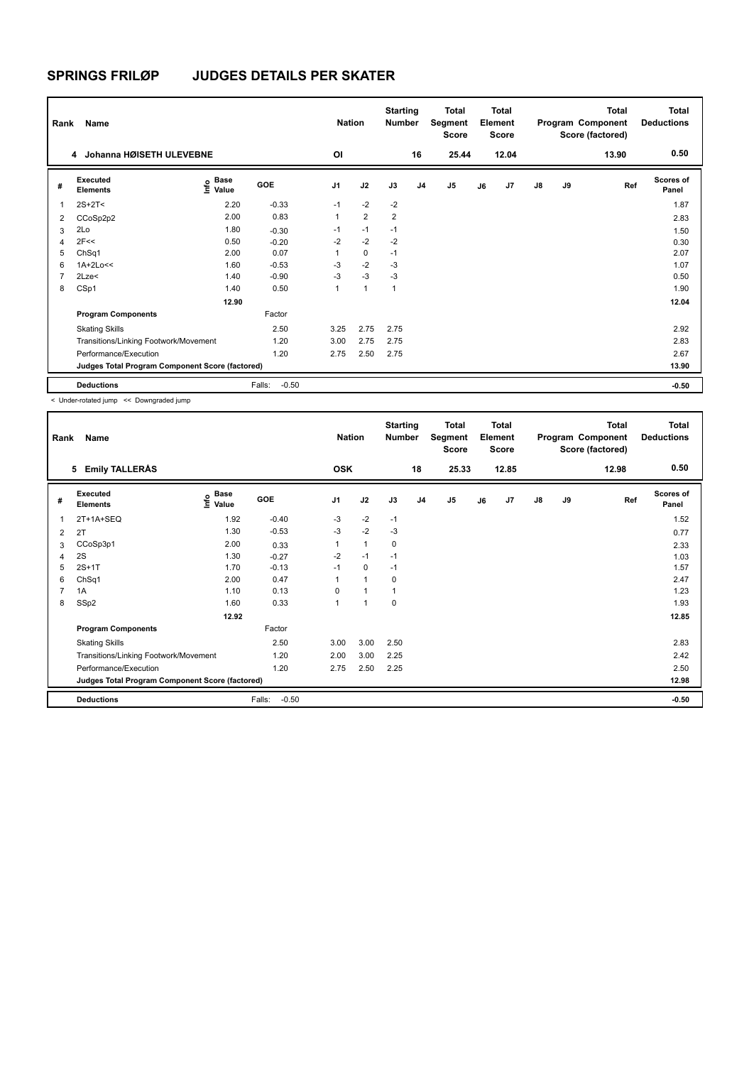| Rank           | Name                                            |                                      |                   | <b>Nation</b>  |                | <b>Starting</b><br><b>Number</b> |                | <b>Total</b><br>Segment<br><b>Score</b> |    | <b>Total</b><br>Element<br><b>Score</b> |    |    | <b>Total</b><br>Program Component<br>Score (factored) | Total<br><b>Deductions</b> |
|----------------|-------------------------------------------------|--------------------------------------|-------------------|----------------|----------------|----------------------------------|----------------|-----------------------------------------|----|-----------------------------------------|----|----|-------------------------------------------------------|----------------------------|
|                | Johanna HØISETH ULEVEBNE<br>4                   |                                      |                   | OI             |                |                                  | 16             | 25.44                                   |    | 12.04                                   |    |    | 13.90                                                 | 0.50                       |
| #              | Executed<br><b>Elements</b>                     | Base<br>e <sup>Base</sup><br>⊆ Value | GOE               | J <sub>1</sub> | J2             | J3                               | J <sub>4</sub> | J5                                      | J6 | J7                                      | J8 | J9 | Ref                                                   | <b>Scores of</b><br>Panel  |
|                | $2S+2T<$                                        | 2.20                                 | $-0.33$           | $-1$           | $-2$           | $-2$                             |                |                                         |    |                                         |    |    |                                                       | 1.87                       |
| 2              | CCoSp2p2                                        | 2.00                                 | 0.83              | $\mathbf{1}$   | $\overline{2}$ | $\overline{2}$                   |                |                                         |    |                                         |    |    |                                                       | 2.83                       |
| 3              | 2Lo                                             | 1.80                                 | $-0.30$           | $-1$           | $-1$           | $-1$                             |                |                                         |    |                                         |    |    |                                                       | 1.50                       |
| $\overline{4}$ | 2F<<                                            | 0.50                                 | $-0.20$           | $-2$           | $-2$           | $-2$                             |                |                                         |    |                                         |    |    |                                                       | 0.30                       |
| 5              | ChSq1                                           | 2.00                                 | 0.07              |                | $\mathbf 0$    | $-1$                             |                |                                         |    |                                         |    |    |                                                       | 2.07                       |
| 6              | $1A+2Lo<<$                                      | 1.60                                 | $-0.53$           | -3             | $-2$           | -3                               |                |                                         |    |                                         |    |    |                                                       | 1.07                       |
|                | $2$ Lze $<$                                     | 1.40                                 | $-0.90$           | -3             | $-3$           | -3                               |                |                                         |    |                                         |    |    |                                                       | 0.50                       |
| 8              | CSp1                                            | 1.40                                 | 0.50              | $\mathbf{1}$   | $\mathbf{1}$   | $\mathbf{1}$                     |                |                                         |    |                                         |    |    |                                                       | 1.90                       |
|                |                                                 | 12.90                                |                   |                |                |                                  |                |                                         |    |                                         |    |    |                                                       | 12.04                      |
|                | <b>Program Components</b>                       |                                      | Factor            |                |                |                                  |                |                                         |    |                                         |    |    |                                                       |                            |
|                | <b>Skating Skills</b>                           |                                      | 2.50              | 3.25           | 2.75           | 2.75                             |                |                                         |    |                                         |    |    |                                                       | 2.92                       |
|                | Transitions/Linking Footwork/Movement           |                                      | 1.20              | 3.00           | 2.75           | 2.75                             |                |                                         |    |                                         |    |    |                                                       | 2.83                       |
|                | Performance/Execution                           |                                      | 1.20              | 2.75           | 2.50           | 2.75                             |                |                                         |    |                                         |    |    |                                                       | 2.67                       |
|                | Judges Total Program Component Score (factored) |                                      |                   |                |                |                                  |                |                                         |    |                                         |    |    |                                                       | 13.90                      |
|                | <b>Deductions</b>                               |                                      | $-0.50$<br>Falls: |                |                |                                  |                |                                         |    |                                         |    |    |                                                       | $-0.50$                    |

< Under-rotated jump << Downgraded jump

| Rank           | Name                                            |                       |                   | <b>Nation</b>  |              | <b>Starting</b><br><b>Number</b> |                | Total<br>Segment<br><b>Score</b> |    | <b>Total</b><br>Element<br><b>Score</b> |               |    | <b>Total</b><br>Program Component<br>Score (factored) | <b>Total</b><br><b>Deductions</b> |
|----------------|-------------------------------------------------|-----------------------|-------------------|----------------|--------------|----------------------------------|----------------|----------------------------------|----|-----------------------------------------|---------------|----|-------------------------------------------------------|-----------------------------------|
|                | <b>Emily TALLERÅS</b><br>5                      |                       |                   | <b>OSK</b>     |              |                                  | 18             | 25.33                            |    | 12.85                                   |               |    | 12.98                                                 | 0.50                              |
| #              | <b>Executed</b><br><b>Elements</b>              | Base<br>١nf٥<br>Value | GOE               | J <sub>1</sub> | J2           | J3                               | J <sub>4</sub> | J5                               | J6 | J7                                      | $\mathsf{J}8$ | J9 | Ref                                                   | <b>Scores of</b><br>Panel         |
| 1              | 2T+1A+SEQ                                       | 1.92                  | $-0.40$           | $-3$           | $-2$         | $-1$                             |                |                                  |    |                                         |               |    |                                                       | 1.52                              |
| 2              | 2T                                              | 1.30                  | $-0.53$           | $-3$           | $-2$         | $-3$                             |                |                                  |    |                                         |               |    |                                                       | 0.77                              |
| 3              | CCoSp3p1                                        | 2.00                  | 0.33              | 1              | $\mathbf{1}$ | $\mathbf 0$                      |                |                                  |    |                                         |               |    |                                                       | 2.33                              |
| 4              | 2S                                              | 1.30                  | $-0.27$           | $-2$           | $-1$         | $-1$                             |                |                                  |    |                                         |               |    |                                                       | 1.03                              |
| 5              | $2S+1T$                                         | 1.70                  | $-0.13$           | $-1$           | 0            | $-1$                             |                |                                  |    |                                         |               |    |                                                       | 1.57                              |
| 6              | ChSq1                                           | 2.00                  | 0.47              | 1              | $\mathbf{1}$ | $\mathbf 0$                      |                |                                  |    |                                         |               |    |                                                       | 2.47                              |
| $\overline{7}$ | 1A                                              | 1.10                  | 0.13              | $\Omega$       | 1            |                                  |                |                                  |    |                                         |               |    |                                                       | 1.23                              |
| 8              | SSp2                                            | 1.60                  | 0.33              | 1              | 1            | $\mathbf 0$                      |                |                                  |    |                                         |               |    |                                                       | 1.93                              |
|                |                                                 | 12.92                 |                   |                |              |                                  |                |                                  |    |                                         |               |    |                                                       | 12.85                             |
|                | <b>Program Components</b>                       |                       | Factor            |                |              |                                  |                |                                  |    |                                         |               |    |                                                       |                                   |
|                | <b>Skating Skills</b>                           |                       | 2.50              | 3.00           | 3.00         | 2.50                             |                |                                  |    |                                         |               |    |                                                       | 2.83                              |
|                | Transitions/Linking Footwork/Movement           |                       | 1.20              | 2.00           | 3.00         | 2.25                             |                |                                  |    |                                         |               |    |                                                       | 2.42                              |
|                | Performance/Execution                           |                       | 1.20              | 2.75           | 2.50         | 2.25                             |                |                                  |    |                                         |               |    |                                                       | 2.50                              |
|                | Judges Total Program Component Score (factored) |                       |                   |                |              |                                  |                |                                  |    |                                         |               |    |                                                       | 12.98                             |
|                | <b>Deductions</b>                               |                       | $-0.50$<br>Falls: |                |              |                                  |                |                                  |    |                                         |               |    |                                                       | $-0.50$                           |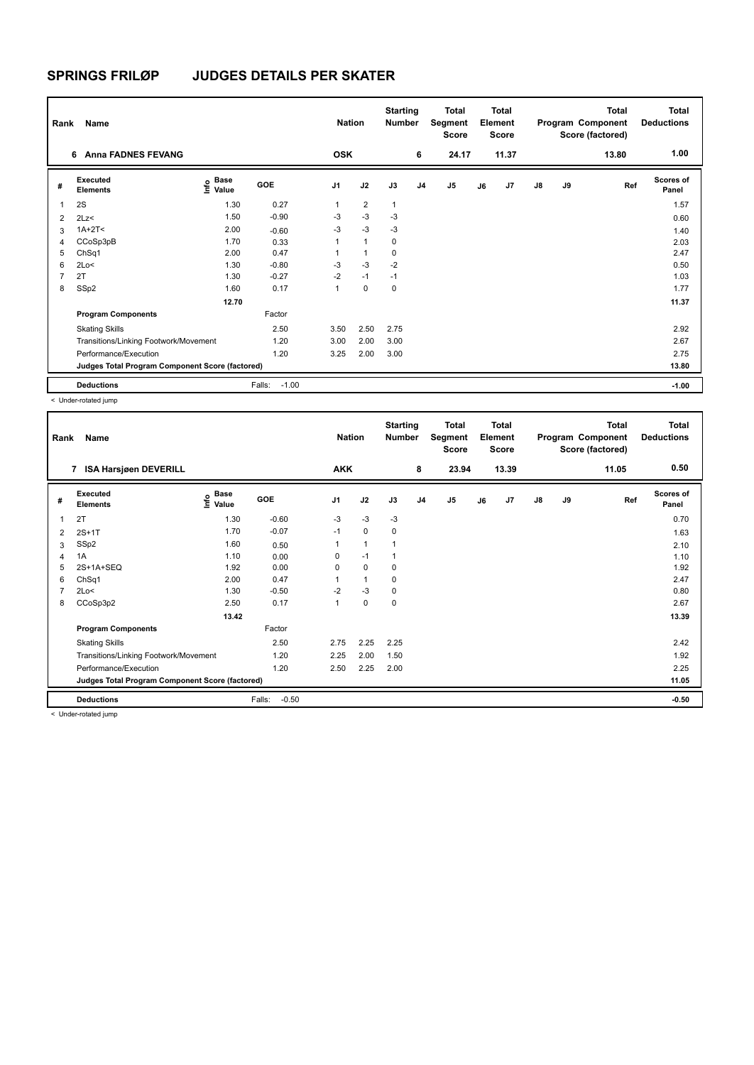| Rank                    | Name                                            |                                  |                   | <b>Nation</b>  |                | <b>Starting</b><br><b>Number</b> |                | <b>Total</b><br>Segment<br><b>Score</b> |    | <b>Total</b><br>Element<br><b>Score</b> |               |    | <b>Total</b><br>Program Component<br>Score (factored) | <b>Total</b><br><b>Deductions</b> |
|-------------------------|-------------------------------------------------|----------------------------------|-------------------|----------------|----------------|----------------------------------|----------------|-----------------------------------------|----|-----------------------------------------|---------------|----|-------------------------------------------------------|-----------------------------------|
|                         | <b>Anna FADNES FEVANG</b><br>6                  |                                  |                   | <b>OSK</b>     |                |                                  | 6              | 24.17                                   |    | 11.37                                   |               |    | 13.80                                                 | 1.00                              |
| #                       | Executed<br><b>Elements</b>                     | <b>Base</b><br>e Base<br>E Value | GOE               | J <sub>1</sub> | J2             | J3                               | J <sub>4</sub> | J <sub>5</sub>                          | J6 | J7                                      | $\mathsf{J}8$ | J9 | Ref                                                   | <b>Scores of</b><br>Panel         |
| $\overline{\mathbf{1}}$ | 2S                                              | 1.30                             | 0.27              | 1              | $\overline{2}$ | $\mathbf{1}$                     |                |                                         |    |                                         |               |    |                                                       | 1.57                              |
| $\overline{2}$          | 2Lz<                                            | 1.50                             | $-0.90$           | -3             | $-3$           | -3                               |                |                                         |    |                                         |               |    |                                                       | 0.60                              |
| 3                       | $1A+2T2$                                        | 2.00                             | $-0.60$           | $-3$           | $-3$           | $-3$                             |                |                                         |    |                                         |               |    |                                                       | 1.40                              |
| 4                       | CCoSp3pB                                        | 1.70                             | 0.33              | 1              | $\mathbf{1}$   | 0                                |                |                                         |    |                                         |               |    |                                                       | 2.03                              |
| 5                       | ChSq1                                           | 2.00                             | 0.47              |                | $\overline{1}$ | 0                                |                |                                         |    |                                         |               |    |                                                       | 2.47                              |
| 6                       | 2Lo<                                            | 1.30                             | $-0.80$           | $-3$           | $-3$           | $-2$                             |                |                                         |    |                                         |               |    |                                                       | 0.50                              |
| 7                       | 2T                                              | 1.30                             | $-0.27$           | $-2$           | $-1$           | $-1$                             |                |                                         |    |                                         |               |    |                                                       | 1.03                              |
| 8                       | SSp2                                            | 1.60                             | 0.17              | 1              | $\mathbf 0$    | $\mathbf 0$                      |                |                                         |    |                                         |               |    |                                                       | 1.77                              |
|                         |                                                 | 12.70                            |                   |                |                |                                  |                |                                         |    |                                         |               |    |                                                       | 11.37                             |
|                         | <b>Program Components</b>                       |                                  | Factor            |                |                |                                  |                |                                         |    |                                         |               |    |                                                       |                                   |
|                         | <b>Skating Skills</b>                           |                                  | 2.50              | 3.50           | 2.50           | 2.75                             |                |                                         |    |                                         |               |    |                                                       | 2.92                              |
|                         | Transitions/Linking Footwork/Movement           |                                  | 1.20              | 3.00           | 2.00           | 3.00                             |                |                                         |    |                                         |               |    |                                                       | 2.67                              |
|                         | Performance/Execution                           |                                  | 1.20              | 3.25           | 2.00           | 3.00                             |                |                                         |    |                                         |               |    |                                                       | 2.75                              |
|                         | Judges Total Program Component Score (factored) |                                  |                   |                |                |                                  |                |                                         |    |                                         |               |    |                                                       | 13.80                             |
|                         | <b>Deductions</b>                               |                                  | $-1.00$<br>Falls: |                |                |                                  |                |                                         |    |                                         |               |    |                                                       | $-1.00$                           |

< Under-rotated jump

| Rank           | Name                                            |                    |                   | <b>Nation</b>  |              | <b>Starting</b><br><b>Number</b> |                | <b>Total</b><br>Segment<br><b>Score</b> |    | <b>Total</b><br>Element<br><b>Score</b> |               |    | Total<br>Program Component<br>Score (factored) | <b>Total</b><br><b>Deductions</b> |
|----------------|-------------------------------------------------|--------------------|-------------------|----------------|--------------|----------------------------------|----------------|-----------------------------------------|----|-----------------------------------------|---------------|----|------------------------------------------------|-----------------------------------|
|                | 7 ISA Harsjøen DEVERILL                         |                    |                   | <b>AKK</b>     |              |                                  | 8              | 23.94                                   |    | 13.39                                   |               |    | 11.05                                          | 0.50                              |
| #              | <b>Executed</b><br><b>Elements</b>              | $\frac{6}{5}$ Base | GOE               | J <sub>1</sub> | J2           | J3                               | J <sub>4</sub> | J <sub>5</sub>                          | J6 | J7                                      | $\mathsf{J}8$ | J9 | Ref                                            | <b>Scores of</b><br>Panel         |
| 1              | 2T                                              | 1.30               | $-0.60$           | $-3$           | $-3$         | -3                               |                |                                         |    |                                         |               |    |                                                | 0.70                              |
| 2              | $2S+1T$                                         | 1.70               | $-0.07$           | $-1$           | 0            | 0                                |                |                                         |    |                                         |               |    |                                                | 1.63                              |
| 3              | SSp2                                            | 1.60               | 0.50              | 1              | $\mathbf{1}$ | $\mathbf 1$                      |                |                                         |    |                                         |               |    |                                                | 2.10                              |
| 4              | 1A                                              | 1.10               | 0.00              | 0              | $-1$         | 1                                |                |                                         |    |                                         |               |    |                                                | 1.10                              |
| 5              | 2S+1A+SEQ                                       | 1.92               | 0.00              | 0              | 0            | 0                                |                |                                         |    |                                         |               |    |                                                | 1.92                              |
| 6              | ChSq1                                           | 2.00               | 0.47              | 1              | $\mathbf{1}$ | 0                                |                |                                         |    |                                         |               |    |                                                | 2.47                              |
| $\overline{7}$ | 2Lo<                                            | 1.30               | $-0.50$           | $-2$           | $-3$         | 0                                |                |                                         |    |                                         |               |    |                                                | 0.80                              |
| 8              | CCoSp3p2                                        | 2.50               | 0.17              | $\mathbf{1}$   | $\pmb{0}$    | 0                                |                |                                         |    |                                         |               |    |                                                | 2.67                              |
|                |                                                 | 13.42              |                   |                |              |                                  |                |                                         |    |                                         |               |    |                                                | 13.39                             |
|                | <b>Program Components</b>                       |                    | Factor            |                |              |                                  |                |                                         |    |                                         |               |    |                                                |                                   |
|                | <b>Skating Skills</b>                           |                    | 2.50              | 2.75           | 2.25         | 2.25                             |                |                                         |    |                                         |               |    |                                                | 2.42                              |
|                | Transitions/Linking Footwork/Movement           |                    | 1.20              | 2.25           | 2.00         | 1.50                             |                |                                         |    |                                         |               |    |                                                | 1.92                              |
|                | Performance/Execution                           |                    | 1.20              | 2.50           | 2.25         | 2.00                             |                |                                         |    |                                         |               |    |                                                | 2.25                              |
|                | Judges Total Program Component Score (factored) |                    |                   |                |              |                                  |                |                                         |    |                                         |               |    |                                                | 11.05                             |
|                | <b>Deductions</b>                               |                    | Falls:<br>$-0.50$ |                |              |                                  |                |                                         |    |                                         |               |    |                                                | $-0.50$                           |

< Under-rotated jump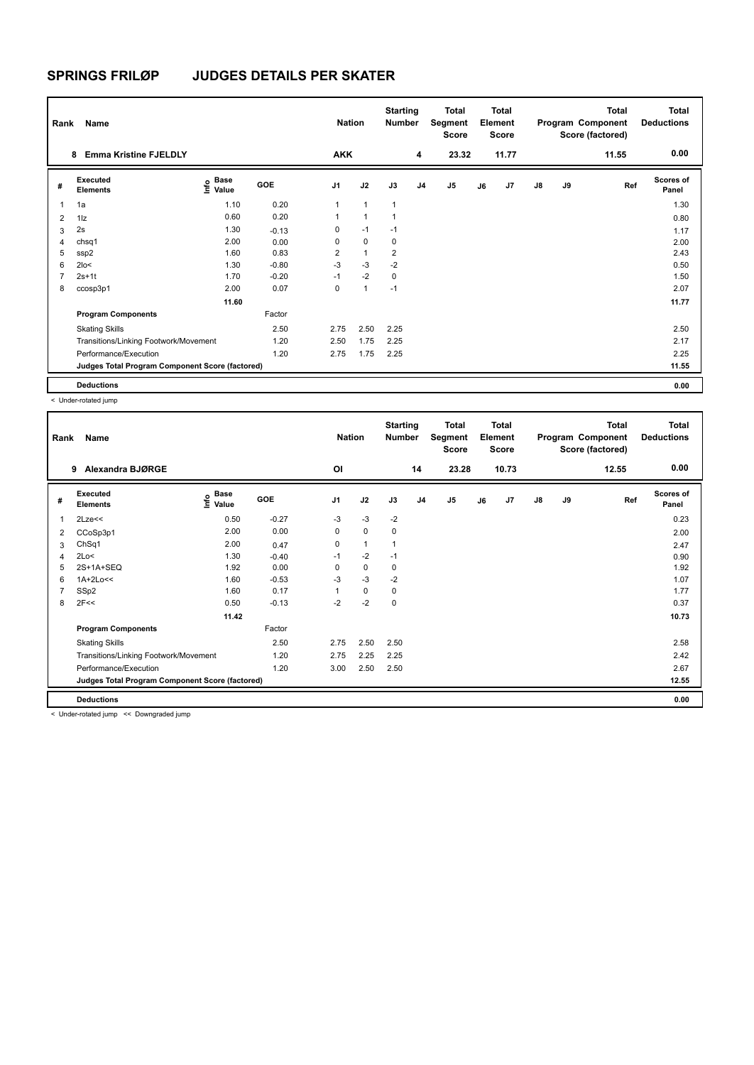| Rank           | Name                                            |                              |         | <b>Nation</b>  |                | <b>Starting</b><br><b>Number</b> |                | <b>Total</b><br>Segment<br><b>Score</b> |    | <b>Total</b><br>Element<br><b>Score</b> |               |    | <b>Total</b><br>Program Component<br>Score (factored) | <b>Total</b><br><b>Deductions</b> |
|----------------|-------------------------------------------------|------------------------------|---------|----------------|----------------|----------------------------------|----------------|-----------------------------------------|----|-----------------------------------------|---------------|----|-------------------------------------------------------|-----------------------------------|
|                | <b>Emma Kristine FJELDLY</b><br>8               |                              |         | <b>AKK</b>     |                |                                  | 4              | 23.32                                   |    | 11.77                                   |               |    | 11.55                                                 | 0.00                              |
| #              | Executed<br><b>Elements</b>                     | <b>Base</b><br>lnfo<br>Value | GOE     | J <sub>1</sub> | J2             | J3                               | J <sub>4</sub> | J <sub>5</sub>                          | J6 | J7                                      | $\mathsf{J}8$ | J9 | Ref                                                   | <b>Scores of</b><br>Panel         |
|                | 1a                                              | 1.10                         | 0.20    | 1              | $\overline{1}$ | $\overline{1}$                   |                |                                         |    |                                         |               |    |                                                       | 1.30                              |
| $\overline{2}$ | $1\vert z$                                      | 0.60                         | 0.20    | 1              | $\overline{1}$ | -1                               |                |                                         |    |                                         |               |    |                                                       | 0.80                              |
| 3              | 2s                                              | 1.30                         | $-0.13$ | 0              | $-1$           | $-1$                             |                |                                         |    |                                         |               |    |                                                       | 1.17                              |
| 4              | chsq1                                           | 2.00                         | 0.00    | 0              | $\mathbf 0$    | 0                                |                |                                         |    |                                         |               |    |                                                       | 2.00                              |
| 5              | ssp2                                            | 1.60                         | 0.83    | 2              | $\mathbf{1}$   | $\overline{2}$                   |                |                                         |    |                                         |               |    |                                                       | 2.43                              |
| 6              | $2$ lo<                                         | 1.30                         | $-0.80$ | $-3$           | $-3$           | $-2$                             |                |                                         |    |                                         |               |    |                                                       | 0.50                              |
|                | $2s+1t$                                         | 1.70                         | $-0.20$ | $-1$           | $-2$           | 0                                |                |                                         |    |                                         |               |    |                                                       | 1.50                              |
| 8              | ccosp3p1                                        | 2.00                         | 0.07    | 0              | $\overline{1}$ | $-1$                             |                |                                         |    |                                         |               |    |                                                       | 2.07                              |
|                |                                                 | 11.60                        |         |                |                |                                  |                |                                         |    |                                         |               |    |                                                       | 11.77                             |
|                | <b>Program Components</b>                       |                              | Factor  |                |                |                                  |                |                                         |    |                                         |               |    |                                                       |                                   |
|                | <b>Skating Skills</b>                           |                              | 2.50    | 2.75           | 2.50           | 2.25                             |                |                                         |    |                                         |               |    |                                                       | 2.50                              |
|                | Transitions/Linking Footwork/Movement           |                              | 1.20    | 2.50           | 1.75           | 2.25                             |                |                                         |    |                                         |               |    |                                                       | 2.17                              |
|                | Performance/Execution                           |                              | 1.20    | 2.75           | 1.75           | 2.25                             |                |                                         |    |                                         |               |    |                                                       | 2.25                              |
|                | Judges Total Program Component Score (factored) |                              |         |                |                |                                  |                |                                         |    |                                         |               |    |                                                       | 11.55                             |
|                | <b>Deductions</b>                               |                              |         |                |                |                                  |                |                                         |    |                                         |               |    |                                                       | 0.00                              |

< Under-rotated jump

| Rank      | Name                                            |                                  |            | <b>Nation</b>  |              | <b>Starting</b><br><b>Number</b> |                | <b>Total</b><br>Segment<br><b>Score</b> |    | <b>Total</b><br>Element<br>Score |               |    | <b>Total</b><br>Program Component<br>Score (factored) | Total<br><b>Deductions</b> |
|-----------|-------------------------------------------------|----------------------------------|------------|----------------|--------------|----------------------------------|----------------|-----------------------------------------|----|----------------------------------|---------------|----|-------------------------------------------------------|----------------------------|
|           | Alexandra BJØRGE<br>9                           |                                  |            | <b>OI</b>      |              |                                  | 14             | 23.28                                   |    | 10.73                            |               |    | 12.55                                                 | 0.00                       |
| #         | Executed<br><b>Elements</b>                     | <b>Base</b><br>e Base<br>⊆ Value | <b>GOE</b> | J <sub>1</sub> | J2           | J3                               | J <sub>4</sub> | J5                                      | J6 | J7                               | $\mathsf{J}8$ | J9 | Ref                                                   | <b>Scores of</b><br>Panel  |
|           | $2$ Lze $<<$                                    | 0.50                             | $-0.27$    | $-3$           | $-3$         | $-2$                             |                |                                         |    |                                  |               |    |                                                       | 0.23                       |
| 2         | CCoSp3p1                                        | 2.00                             | 0.00       | $\mathbf 0$    | $\mathbf 0$  | 0                                |                |                                         |    |                                  |               |    |                                                       | 2.00                       |
| 3         | ChSq1                                           | 2.00                             | 0.47       | 0              | $\mathbf{1}$ | $\mathbf{1}$                     |                |                                         |    |                                  |               |    |                                                       | 2.47                       |
| $\lambda$ | 2Lo<                                            | 1.30                             | $-0.40$    | $-1$           | $-2$         | $-1$                             |                |                                         |    |                                  |               |    |                                                       | 0.90                       |
| 5         | $2S+1A+SEO$                                     | 1.92                             | 0.00       | 0              | $\pmb{0}$    | 0                                |                |                                         |    |                                  |               |    |                                                       | 1.92                       |
| 6         | $1A+2Lo<<$                                      | 1.60                             | $-0.53$    | $-3$           | $-3$         | $-2$                             |                |                                         |    |                                  |               |    |                                                       | 1.07                       |
|           | SSp2                                            | 1.60                             | 0.17       | 1              | $\mathbf 0$  | 0                                |                |                                         |    |                                  |               |    |                                                       | 1.77                       |
| 8         | 2F<<                                            | 0.50                             | $-0.13$    | $-2$           | $-2$         | 0                                |                |                                         |    |                                  |               |    |                                                       | 0.37                       |
|           |                                                 | 11.42                            |            |                |              |                                  |                |                                         |    |                                  |               |    |                                                       | 10.73                      |
|           | <b>Program Components</b>                       |                                  | Factor     |                |              |                                  |                |                                         |    |                                  |               |    |                                                       |                            |
|           | <b>Skating Skills</b>                           |                                  | 2.50       | 2.75           | 2.50         | 2.50                             |                |                                         |    |                                  |               |    |                                                       | 2.58                       |
|           | Transitions/Linking Footwork/Movement           |                                  | 1.20       | 2.75           | 2.25         | 2.25                             |                |                                         |    |                                  |               |    |                                                       | 2.42                       |
|           | Performance/Execution                           |                                  | 1.20       | 3.00           | 2.50         | 2.50                             |                |                                         |    |                                  |               |    |                                                       | 2.67                       |
|           | Judges Total Program Component Score (factored) |                                  |            |                |              |                                  |                |                                         |    |                                  |               |    |                                                       | 12.55                      |
|           | <b>Deductions</b>                               |                                  |            |                |              |                                  |                |                                         |    |                                  |               |    |                                                       | 0.00                       |

< Under-rotated jump << Downgraded jump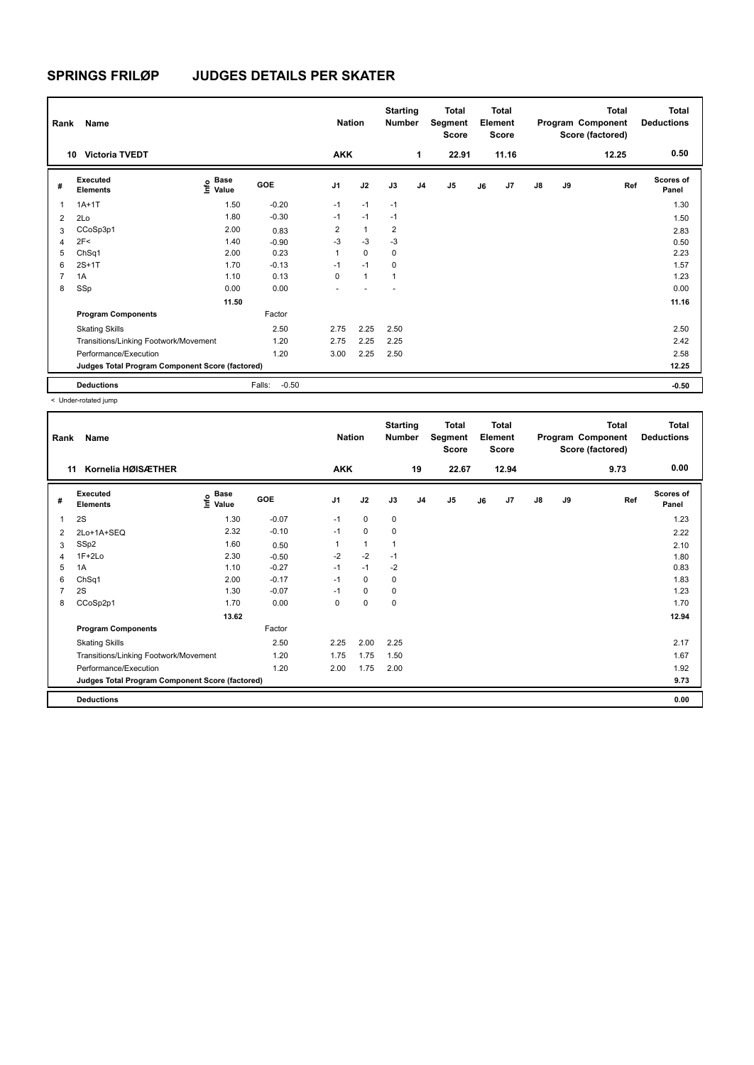| Rank           | Name                                            |                              |                   | <b>Nation</b>  |              | <b>Starting</b><br><b>Number</b> |                | <b>Total</b><br>Segment<br><b>Score</b> |    | <b>Total</b><br>Element<br><b>Score</b> |               |    | <b>Total</b><br>Program Component<br>Score (factored) | Total<br><b>Deductions</b> |
|----------------|-------------------------------------------------|------------------------------|-------------------|----------------|--------------|----------------------------------|----------------|-----------------------------------------|----|-----------------------------------------|---------------|----|-------------------------------------------------------|----------------------------|
|                | <b>Victoria TVEDT</b><br>10                     |                              |                   | <b>AKK</b>     |              |                                  | 1              | 22.91                                   |    | 11.16                                   |               |    | 12.25                                                 | 0.50                       |
| #              | Executed<br><b>Elements</b>                     | <b>Base</b><br>lnfo<br>Value | GOE               | J <sub>1</sub> | J2           | J3                               | J <sub>4</sub> | J <sub>5</sub>                          | J6 | J7                                      | $\mathsf{J}8$ | J9 | Ref                                                   | <b>Scores of</b><br>Panel  |
| 1              | $1A+1T$                                         | 1.50                         | $-0.20$           | $-1$           | $-1$         | $-1$                             |                |                                         |    |                                         |               |    |                                                       | 1.30                       |
| $\overline{2}$ | 2Lo                                             | 1.80                         | $-0.30$           | $-1$           | $-1$         | $-1$                             |                |                                         |    |                                         |               |    |                                                       | 1.50                       |
| 3              | CCoSp3p1                                        | 2.00                         | 0.83              | 2              | $\mathbf{1}$ | 2                                |                |                                         |    |                                         |               |    |                                                       | 2.83                       |
| 4              | 2F<                                             | 1.40                         | $-0.90$           | $-3$           | $-3$         | $-3$                             |                |                                         |    |                                         |               |    |                                                       | 0.50                       |
| 5              | ChSq1                                           | 2.00                         | 0.23              | 1              | $\Omega$     | 0                                |                |                                         |    |                                         |               |    |                                                       | 2.23                       |
| 6              | $2S+1T$                                         | 1.70                         | $-0.13$           | $-1$           | $-1$         | 0                                |                |                                         |    |                                         |               |    |                                                       | 1.57                       |
| 7              | 1A                                              | 1.10                         | 0.13              | $\Omega$       | $\mathbf{1}$ | 1                                |                |                                         |    |                                         |               |    |                                                       | 1.23                       |
| 8              | SSp                                             | 0.00                         | 0.00              |                |              |                                  |                |                                         |    |                                         |               |    |                                                       | 0.00                       |
|                |                                                 | 11.50                        |                   |                |              |                                  |                |                                         |    |                                         |               |    |                                                       | 11.16                      |
|                | <b>Program Components</b>                       |                              | Factor            |                |              |                                  |                |                                         |    |                                         |               |    |                                                       |                            |
|                | <b>Skating Skills</b>                           |                              | 2.50              | 2.75           | 2.25         | 2.50                             |                |                                         |    |                                         |               |    |                                                       | 2.50                       |
|                | Transitions/Linking Footwork/Movement           |                              | 1.20              | 2.75           | 2.25         | 2.25                             |                |                                         |    |                                         |               |    |                                                       | 2.42                       |
|                | Performance/Execution                           |                              | 1.20              | 3.00           | 2.25         | 2.50                             |                |                                         |    |                                         |               |    |                                                       | 2.58                       |
|                | Judges Total Program Component Score (factored) |                              |                   |                |              |                                  |                |                                         |    |                                         |               |    |                                                       | 12.25                      |
|                | <b>Deductions</b>                               |                              | $-0.50$<br>Falls: |                |              |                                  |                |                                         |    |                                         |               |    |                                                       | $-0.50$                    |

< Under-rotated jump

| Rank           | Name                                            |                            |            | <b>Nation</b>  |              | <b>Starting</b><br>Number |                | <b>Total</b><br>Segment<br>Score |    | <b>Total</b><br>Element<br><b>Score</b> |               |    | <b>Total</b><br>Program Component<br>Score (factored) | <b>Total</b><br><b>Deductions</b> |
|----------------|-------------------------------------------------|----------------------------|------------|----------------|--------------|---------------------------|----------------|----------------------------------|----|-----------------------------------------|---------------|----|-------------------------------------------------------|-----------------------------------|
| 11             | Kornelia HØISÆTHER                              |                            |            | <b>AKK</b>     |              |                           | 19             | 22.67                            |    | 12.94                                   |               |    | 9.73                                                  | 0.00                              |
| #              | <b>Executed</b><br><b>Elements</b>              | e Base<br>E Value<br>Value | <b>GOE</b> | J <sub>1</sub> | J2           | J3                        | J <sub>4</sub> | J <sub>5</sub>                   | J6 | J7                                      | $\mathsf{J}8$ | J9 | Ref                                                   | <b>Scores of</b><br>Panel         |
| 1              | 2S                                              | 1.30                       | $-0.07$    | $-1$           | 0            | 0                         |                |                                  |    |                                         |               |    |                                                       | 1.23                              |
| 2              | 2Lo+1A+SEQ                                      | 2.32                       | $-0.10$    | $-1$           | 0            | 0                         |                |                                  |    |                                         |               |    |                                                       | 2.22                              |
| 3              | SSp2                                            | 1.60                       | 0.50       |                | $\mathbf{1}$ |                           |                |                                  |    |                                         |               |    |                                                       | 2.10                              |
| 4              | $1F+2Lo$                                        | 2.30                       | $-0.50$    | $-2$           | $-2$         | $-1$                      |                |                                  |    |                                         |               |    |                                                       | 1.80                              |
| 5              | 1A                                              | 1.10                       | $-0.27$    | $-1$           | $-1$         | $-2$                      |                |                                  |    |                                         |               |    |                                                       | 0.83                              |
| 6              | ChSq1                                           | 2.00                       | $-0.17$    | $-1$           | 0            | 0                         |                |                                  |    |                                         |               |    |                                                       | 1.83                              |
| $\overline{7}$ | 2S                                              | 1.30                       | $-0.07$    | $-1$           | 0            | 0                         |                |                                  |    |                                         |               |    |                                                       | 1.23                              |
| 8              | CCoSp2p1                                        | 1.70                       | 0.00       | 0              | 0            | 0                         |                |                                  |    |                                         |               |    |                                                       | 1.70                              |
|                |                                                 | 13.62                      |            |                |              |                           |                |                                  |    |                                         |               |    |                                                       | 12.94                             |
|                | <b>Program Components</b>                       |                            | Factor     |                |              |                           |                |                                  |    |                                         |               |    |                                                       |                                   |
|                | <b>Skating Skills</b>                           |                            | 2.50       | 2.25           | 2.00         | 2.25                      |                |                                  |    |                                         |               |    |                                                       | 2.17                              |
|                | Transitions/Linking Footwork/Movement           |                            | 1.20       | 1.75           | 1.75         | 1.50                      |                |                                  |    |                                         |               |    |                                                       | 1.67                              |
|                | Performance/Execution                           |                            | 1.20       | 2.00           | 1.75         | 2.00                      |                |                                  |    |                                         |               |    |                                                       | 1.92                              |
|                | Judges Total Program Component Score (factored) |                            |            |                |              |                           |                |                                  |    |                                         |               |    |                                                       | 9.73                              |
|                | <b>Deductions</b>                               |                            |            |                |              |                           |                |                                  |    |                                         |               |    |                                                       | 0.00                              |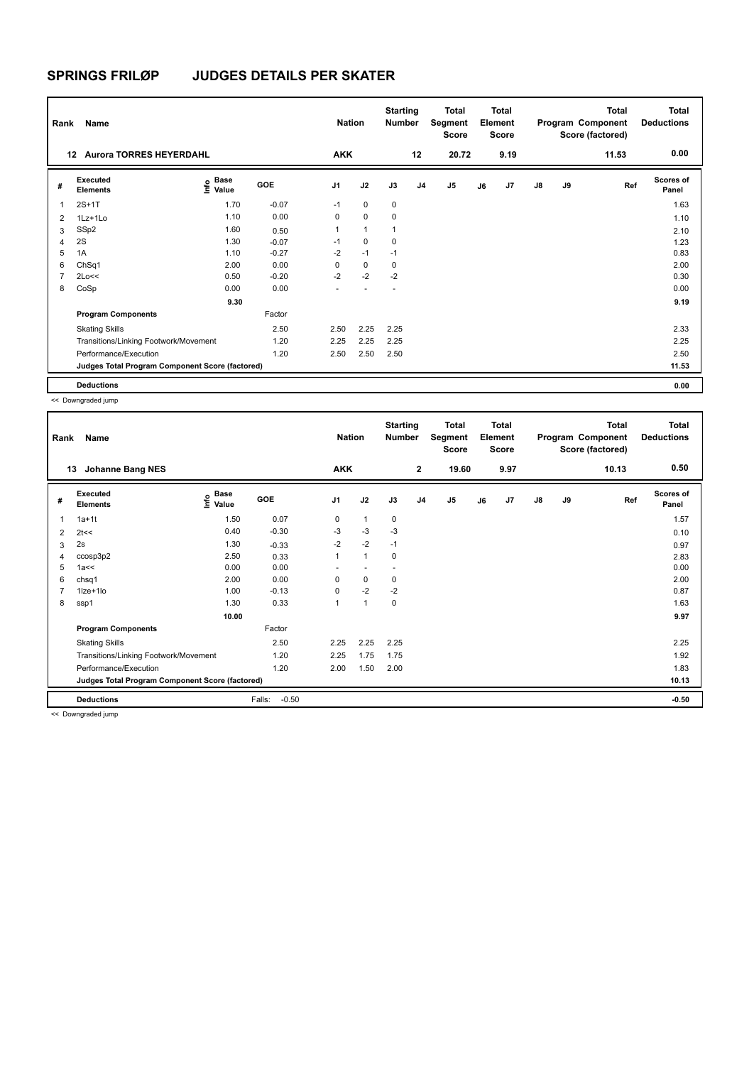| Rank                    | Name                                            |                       |         | <b>Nation</b>  |                | <b>Starting</b><br><b>Number</b> |                | <b>Total</b><br>Segment<br><b>Score</b> |    | <b>Total</b><br>Element<br><b>Score</b> |               |    | <b>Total</b><br>Program Component<br>Score (factored) | Total<br><b>Deductions</b> |
|-------------------------|-------------------------------------------------|-----------------------|---------|----------------|----------------|----------------------------------|----------------|-----------------------------------------|----|-----------------------------------------|---------------|----|-------------------------------------------------------|----------------------------|
|                         | <b>Aurora TORRES HEYERDAHL</b><br>12            |                       |         | <b>AKK</b>     |                |                                  | 12             | 20.72                                   |    | 9.19                                    |               |    | 11.53                                                 | 0.00                       |
| #                       | Executed<br><b>Elements</b>                     | Base<br>lnfo<br>Value | GOE     | J <sub>1</sub> | J2             | J3                               | J <sub>4</sub> | J <sub>5</sub>                          | J6 | J7                                      | $\mathsf{J}8$ | J9 | Ref                                                   | <b>Scores of</b><br>Panel  |
| $\overline{\mathbf{1}}$ | $2S+1T$                                         | 1.70                  | $-0.07$ | $-1$           | $\mathbf 0$    | $\mathbf 0$                      |                |                                         |    |                                         |               |    |                                                       | 1.63                       |
| $\overline{2}$          | $1Lz+1L0$                                       | 1.10                  | 0.00    | 0              | $\mathbf 0$    | 0                                |                |                                         |    |                                         |               |    |                                                       | 1.10                       |
| 3                       | SSp2                                            | 1.60                  | 0.50    | 1              | $\overline{1}$ | 1                                |                |                                         |    |                                         |               |    |                                                       | 2.10                       |
| 4                       | 2S                                              | 1.30                  | $-0.07$ | $-1$           | $\mathbf 0$    | 0                                |                |                                         |    |                                         |               |    |                                                       | 1.23                       |
| 5                       | 1A                                              | 1.10                  | $-0.27$ | $-2$           | $-1$           | $-1$                             |                |                                         |    |                                         |               |    |                                                       | 0.83                       |
| 6                       | ChSq1                                           | 2.00                  | 0.00    | $\Omega$       | $\mathbf 0$    | 0                                |                |                                         |    |                                         |               |    |                                                       | 2.00                       |
| $\overline{7}$          | 2Lo<<                                           | 0.50                  | $-0.20$ | $-2$           | $-2$           | $-2$                             |                |                                         |    |                                         |               |    |                                                       | 0.30                       |
| 8                       | CoSp                                            | 0.00                  | 0.00    | ٠              |                | $\overline{\phantom{a}}$         |                |                                         |    |                                         |               |    |                                                       | 0.00                       |
|                         |                                                 | 9.30                  |         |                |                |                                  |                |                                         |    |                                         |               |    |                                                       | 9.19                       |
|                         | <b>Program Components</b>                       |                       | Factor  |                |                |                                  |                |                                         |    |                                         |               |    |                                                       |                            |
|                         | <b>Skating Skills</b>                           |                       | 2.50    | 2.50           | 2.25           | 2.25                             |                |                                         |    |                                         |               |    |                                                       | 2.33                       |
|                         | Transitions/Linking Footwork/Movement           |                       | 1.20    | 2.25           | 2.25           | 2.25                             |                |                                         |    |                                         |               |    |                                                       | 2.25                       |
|                         | Performance/Execution                           |                       | 1.20    | 2.50           | 2.50           | 2.50                             |                |                                         |    |                                         |               |    |                                                       | 2.50                       |
|                         | Judges Total Program Component Score (factored) |                       |         |                |                |                                  |                |                                         |    |                                         |               |    |                                                       | 11.53                      |
|                         | <b>Deductions</b>                               |                       |         |                |                |                                  |                |                                         |    |                                         |               |    |                                                       | 0.00                       |

<< Downgraded jump

| Rank | Name                                            |                       |                   | <b>Nation</b>  |                          | <b>Starting</b><br><b>Number</b> |                | <b>Total</b><br>Segment<br><b>Score</b> |    | Total<br>Element<br><b>Score</b> |    |    | <b>Total</b><br>Program Component<br>Score (factored) | Total<br><b>Deductions</b> |
|------|-------------------------------------------------|-----------------------|-------------------|----------------|--------------------------|----------------------------------|----------------|-----------------------------------------|----|----------------------------------|----|----|-------------------------------------------------------|----------------------------|
|      | <b>Johanne Bang NES</b><br>13                   |                       |                   | <b>AKK</b>     |                          |                                  | $\mathbf{2}$   | 19.60                                   |    | 9.97                             |    |    | 10.13                                                 | 0.50                       |
| #    | <b>Executed</b><br><b>Elements</b>              | Base<br>lnfo<br>Value | GOE               | J <sub>1</sub> | J2                       | J3                               | J <sub>4</sub> | J <sub>5</sub>                          | J6 | J7                               | J8 | J9 | Ref                                                   | <b>Scores of</b><br>Panel  |
|      | $1a+1t$                                         | 1.50                  | 0.07              | 0              | $\mathbf{1}$             | $\pmb{0}$                        |                |                                         |    |                                  |    |    |                                                       | 1.57                       |
| 2    | 2t <                                            | 0.40                  | $-0.30$           | $-3$           | $-3$                     | $-3$                             |                |                                         |    |                                  |    |    |                                                       | 0.10                       |
| 3    | 2s                                              | 1.30                  | $-0.33$           | $-2$           | $-2$                     | $-1$                             |                |                                         |    |                                  |    |    |                                                       | 0.97                       |
|      | ccosp3p2                                        | 2.50                  | 0.33              | $\mathbf{1}$   | $\mathbf{1}$             | 0                                |                |                                         |    |                                  |    |    |                                                       | 2.83                       |
| 5    | 1a <                                            | 0.00                  | 0.00              | ٠              | $\overline{\phantom{a}}$ | ٠                                |                |                                         |    |                                  |    |    |                                                       | 0.00                       |
| 6    | chsq1                                           | 2.00                  | 0.00              | 0              | $\pmb{0}$                | 0                                |                |                                         |    |                                  |    |    |                                                       | 2.00                       |
|      | $1$ ze + $1$ lo                                 | 1.00                  | $-0.13$           | $\mathbf 0$    | $-2$                     | $-2$                             |                |                                         |    |                                  |    |    |                                                       | 0.87                       |
| 8    | ssp1                                            | 1.30                  | 0.33              | $\overline{1}$ | $\overline{1}$           | 0                                |                |                                         |    |                                  |    |    |                                                       | 1.63                       |
|      |                                                 | 10.00                 |                   |                |                          |                                  |                |                                         |    |                                  |    |    |                                                       | 9.97                       |
|      | <b>Program Components</b>                       |                       | Factor            |                |                          |                                  |                |                                         |    |                                  |    |    |                                                       |                            |
|      | <b>Skating Skills</b>                           |                       | 2.50              | 2.25           | 2.25                     | 2.25                             |                |                                         |    |                                  |    |    |                                                       | 2.25                       |
|      | Transitions/Linking Footwork/Movement           |                       | 1.20              | 2.25           | 1.75                     | 1.75                             |                |                                         |    |                                  |    |    |                                                       | 1.92                       |
|      | Performance/Execution                           |                       | 1.20              | 2.00           | 1.50                     | 2.00                             |                |                                         |    |                                  |    |    |                                                       | 1.83                       |
|      | Judges Total Program Component Score (factored) |                       |                   |                |                          |                                  |                |                                         |    |                                  |    |    |                                                       | 10.13                      |
|      | <b>Deductions</b>                               |                       | Falls:<br>$-0.50$ |                |                          |                                  |                |                                         |    |                                  |    |    |                                                       | $-0.50$                    |

<< Downgraded jump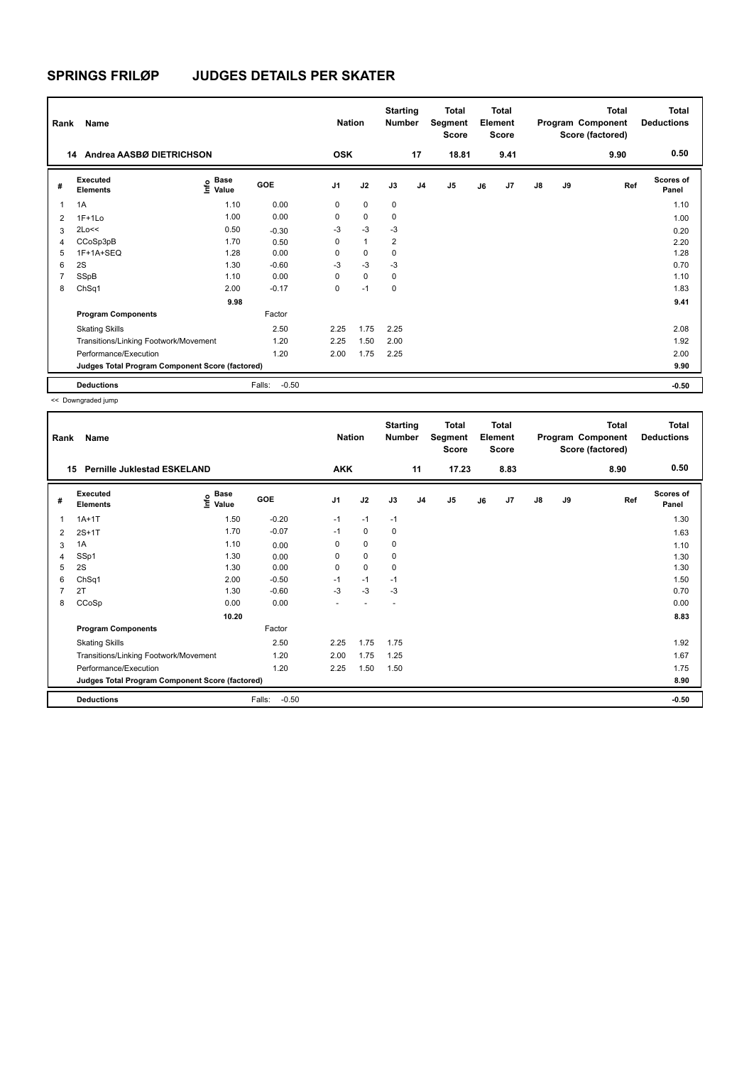| Rank           | Name                                            |                                  |                   | <b>Nation</b>  |              | <b>Starting</b><br><b>Number</b> |                | <b>Total</b><br>Segment<br><b>Score</b> |    | <b>Total</b><br>Element<br><b>Score</b> |    |    | <b>Total</b><br>Program Component<br>Score (factored) | <b>Total</b><br><b>Deductions</b> |
|----------------|-------------------------------------------------|----------------------------------|-------------------|----------------|--------------|----------------------------------|----------------|-----------------------------------------|----|-----------------------------------------|----|----|-------------------------------------------------------|-----------------------------------|
| 14             | Andrea AASBØ DIETRICHSON                        |                                  |                   | <b>OSK</b>     |              |                                  | 17             | 18.81                                   |    | 9.41                                    |    |    | 9.90                                                  | 0.50                              |
| #              | Executed<br><b>Elements</b>                     | <b>Base</b><br>e Base<br>⊆ Value | GOE               | J <sub>1</sub> | J2           | J3                               | J <sub>4</sub> | J5                                      | J6 | J7                                      | J8 | J9 | Ref                                                   | <b>Scores of</b><br>Panel         |
| 1              | 1A                                              | 1.10                             | 0.00              | 0              | $\mathbf 0$  | 0                                |                |                                         |    |                                         |    |    |                                                       | 1.10                              |
| $\overline{2}$ | $1F+1Lo$                                        | 1.00                             | 0.00              | 0              | $\mathbf 0$  | 0                                |                |                                         |    |                                         |    |    |                                                       | 1.00                              |
| 3              | 2Lo<<                                           | 0.50                             | $-0.30$           | -3             | $-3$         | -3                               |                |                                         |    |                                         |    |    |                                                       | 0.20                              |
| 4              | CCoSp3pB                                        | 1.70                             | 0.50              | 0              | $\mathbf{1}$ | $\overline{2}$                   |                |                                         |    |                                         |    |    |                                                       | 2.20                              |
| 5              | 1F+1A+SEQ                                       | 1.28                             | 0.00              | $\Omega$       | 0            | 0                                |                |                                         |    |                                         |    |    |                                                       | 1.28                              |
| 6              | 2S                                              | 1.30                             | $-0.60$           | $-3$           | $-3$         | $-3$                             |                |                                         |    |                                         |    |    |                                                       | 0.70                              |
| 7              | SSpB                                            | 1.10                             | 0.00              | $\Omega$       | $\mathbf 0$  | $\mathbf 0$                      |                |                                         |    |                                         |    |    |                                                       | 1.10                              |
| 8              | ChSq1                                           | 2.00                             | $-0.17$           | 0              | $-1$         | $\mathbf 0$                      |                |                                         |    |                                         |    |    |                                                       | 1.83                              |
|                |                                                 | 9.98                             |                   |                |              |                                  |                |                                         |    |                                         |    |    |                                                       | 9.41                              |
|                | <b>Program Components</b>                       |                                  | Factor            |                |              |                                  |                |                                         |    |                                         |    |    |                                                       |                                   |
|                | <b>Skating Skills</b>                           |                                  | 2.50              | 2.25           | 1.75         | 2.25                             |                |                                         |    |                                         |    |    |                                                       | 2.08                              |
|                | Transitions/Linking Footwork/Movement           |                                  | 1.20              | 2.25           | 1.50         | 2.00                             |                |                                         |    |                                         |    |    |                                                       | 1.92                              |
|                | Performance/Execution                           |                                  | 1.20              | 2.00           | 1.75         | 2.25                             |                |                                         |    |                                         |    |    |                                                       | 2.00                              |
|                | Judges Total Program Component Score (factored) |                                  |                   |                |              |                                  |                |                                         |    |                                         |    |    |                                                       | 9.90                              |
|                | <b>Deductions</b>                               |                                  | $-0.50$<br>Falls: |                |              |                                  |                |                                         |    |                                         |    |    |                                                       | $-0.50$                           |

<< Downgraded jump

| Rank | Name                                            |                                           |                   | <b>Nation</b>  |      | <b>Starting</b><br>Number |                | <b>Total</b><br>Segment<br><b>Score</b> |    | <b>Total</b><br>Element<br><b>Score</b> |               |    | <b>Total</b><br>Program Component<br>Score (factored) | <b>Total</b><br><b>Deductions</b> |
|------|-------------------------------------------------|-------------------------------------------|-------------------|----------------|------|---------------------------|----------------|-----------------------------------------|----|-----------------------------------------|---------------|----|-------------------------------------------------------|-----------------------------------|
| 15   | <b>Pernille Juklestad ESKELAND</b>              |                                           |                   | <b>AKK</b>     |      |                           | 11             | 17.23                                   |    | 8.83                                    |               |    | 8.90                                                  | 0.50                              |
| #    | <b>Executed</b><br><b>Elements</b>              | $\frac{6}{5}$ Base<br>$\frac{1}{5}$ Value | GOE               | J <sub>1</sub> | J2   | J3                        | J <sub>4</sub> | J <sub>5</sub>                          | J6 | J7                                      | $\mathsf{J}8$ | J9 | Ref                                                   | <b>Scores of</b><br>Panel         |
| 1    | $1A+1T$                                         | 1.50                                      | $-0.20$           | $-1$           | $-1$ | $-1$                      |                |                                         |    |                                         |               |    |                                                       | 1.30                              |
| 2    | $2S+1T$                                         | 1.70                                      | $-0.07$           | $-1$           | 0    | 0                         |                |                                         |    |                                         |               |    |                                                       | 1.63                              |
| 3    | 1A                                              | 1.10                                      | 0.00              | 0              | 0    | 0                         |                |                                         |    |                                         |               |    |                                                       | 1.10                              |
| 4    | SSp1                                            | 1.30                                      | 0.00              | 0              | 0    | 0                         |                |                                         |    |                                         |               |    |                                                       | 1.30                              |
| 5    | 2S                                              | 1.30                                      | 0.00              | 0              | 0    | 0                         |                |                                         |    |                                         |               |    |                                                       | 1.30                              |
| 6    | ChSq1                                           | 2.00                                      | $-0.50$           | $-1$           | $-1$ | $-1$                      |                |                                         |    |                                         |               |    |                                                       | 1.50                              |
| 7    | 2T                                              | 1.30                                      | $-0.60$           | $-3$           | $-3$ | -3                        |                |                                         |    |                                         |               |    |                                                       | 0.70                              |
| 8    | CCoSp                                           | 0.00                                      | 0.00              |                |      |                           |                |                                         |    |                                         |               |    |                                                       | 0.00                              |
|      |                                                 | 10.20                                     |                   |                |      |                           |                |                                         |    |                                         |               |    |                                                       | 8.83                              |
|      | <b>Program Components</b>                       |                                           | Factor            |                |      |                           |                |                                         |    |                                         |               |    |                                                       |                                   |
|      | <b>Skating Skills</b>                           |                                           | 2.50              | 2.25           | 1.75 | 1.75                      |                |                                         |    |                                         |               |    |                                                       | 1.92                              |
|      | Transitions/Linking Footwork/Movement           |                                           | 1.20              | 2.00           | 1.75 | 1.25                      |                |                                         |    |                                         |               |    |                                                       | 1.67                              |
|      | Performance/Execution                           |                                           | 1.20              | 2.25           | 1.50 | 1.50                      |                |                                         |    |                                         |               |    |                                                       | 1.75                              |
|      | Judges Total Program Component Score (factored) |                                           |                   |                |      |                           |                |                                         |    |                                         |               |    |                                                       | 8.90                              |
|      | <b>Deductions</b>                               |                                           | Falls:<br>$-0.50$ |                |      |                           |                |                                         |    |                                         |               |    |                                                       | $-0.50$                           |